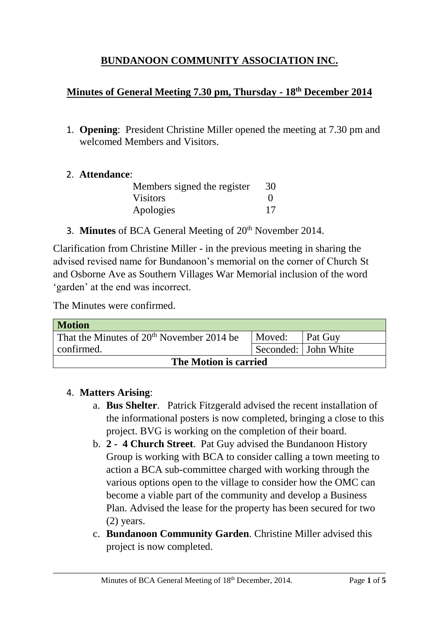# **BUNDANOON COMMUNITY ASSOCIATION INC.**

## **Minutes of General Meeting 7.30 pm, Thursday - 18th December 2014**

1. **Opening**: President Christine Miller opened the meeting at 7.30 pm and welcomed Members and Visitors.

#### 2. **Attendance**:

| Members signed the register | 30       |
|-----------------------------|----------|
| <b>Visitors</b>             | $\theta$ |
| Apologies                   | 17       |

3. **Minutes** of BCA General Meeting of 20<sup>th</sup> November 2014.

Clarification from Christine Miller - in the previous meeting in sharing the advised revised name for Bundanoon's memorial on the corner of Church St and Osborne Ave as Southern Villages War Memorial inclusion of the word 'garden' at the end was incorrect.

The Minutes were confirmed.

| <b>Motion</b>                                         |        |                      |  |
|-------------------------------------------------------|--------|----------------------|--|
| That the Minutes of 20 <sup>th</sup> November 2014 be | Moved: | Pat Guy              |  |
| confirmed.                                            |        | Seconded: John White |  |
| The Motion is carried                                 |        |                      |  |

#### 4. **Matters Arising**:

- a. **Bus Shelter**. Patrick Fitzgerald advised the recent installation of the informational posters is now completed, bringing a close to this project. BVG is working on the completion of their board.
- b. **2 4 Church Street**. Pat Guy advised the Bundanoon History Group is working with BCA to consider calling a town meeting to action a BCA sub-committee charged with working through the various options open to the village to consider how the OMC can become a viable part of the community and develop a Business Plan. Advised the lease for the property has been secured for two (2) years.
- c. **Bundanoon Community Garden**. Christine Miller advised this project is now completed.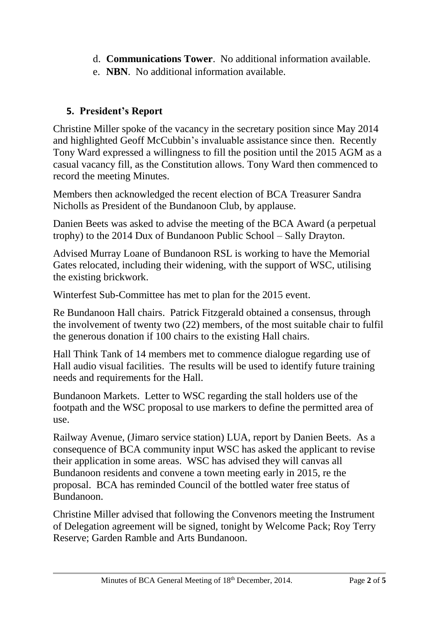- d. **Communications Tower**. No additional information available.
- e. **NBN**. No additional information available.

# **5. President's Report**

Christine Miller spoke of the vacancy in the secretary position since May 2014 and highlighted Geoff McCubbin's invaluable assistance since then. Recently Tony Ward expressed a willingness to fill the position until the 2015 AGM as a casual vacancy fill, as the Constitution allows. Tony Ward then commenced to record the meeting Minutes.

Members then acknowledged the recent election of BCA Treasurer Sandra Nicholls as President of the Bundanoon Club, by applause.

Danien Beets was asked to advise the meeting of the BCA Award (a perpetual trophy) to the 2014 Dux of Bundanoon Public School – Sally Drayton.

Advised Murray Loane of Bundanoon RSL is working to have the Memorial Gates relocated, including their widening, with the support of WSC, utilising the existing brickwork.

Winterfest Sub-Committee has met to plan for the 2015 event.

Re Bundanoon Hall chairs. Patrick Fitzgerald obtained a consensus, through the involvement of twenty two (22) members, of the most suitable chair to fulfil the generous donation if 100 chairs to the existing Hall chairs.

Hall Think Tank of 14 members met to commence dialogue regarding use of Hall audio visual facilities. The results will be used to identify future training needs and requirements for the Hall.

Bundanoon Markets. Letter to WSC regarding the stall holders use of the footpath and the WSC proposal to use markers to define the permitted area of use.

Railway Avenue, (Jimaro service station) LUA, report by Danien Beets. As a consequence of BCA community input WSC has asked the applicant to revise their application in some areas. WSC has advised they will canvas all Bundanoon residents and convene a town meeting early in 2015, re the proposal. BCA has reminded Council of the bottled water free status of Bundanoon.

Christine Miller advised that following the Convenors meeting the Instrument of Delegation agreement will be signed, tonight by Welcome Pack; Roy Terry Reserve; Garden Ramble and Arts Bundanoon.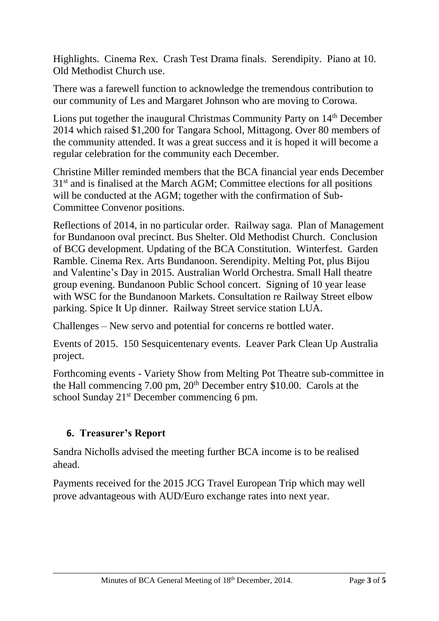Highlights. Cinema Rex. Crash Test Drama finals. Serendipity. Piano at 10. Old Methodist Church use.

There was a farewell function to acknowledge the tremendous contribution to our community of Les and Margaret Johnson who are moving to Corowa.

Lions put together the inaugural Christmas Community Party on 14<sup>th</sup> December 2014 which raised \$1,200 for Tangara School, Mittagong. Over 80 members of the community attended. It was a great success and it is hoped it will become a regular celebration for the community each December.

Christine Miller reminded members that the BCA financial year ends December 31st and is finalised at the March AGM; Committee elections for all positions will be conducted at the AGM; together with the confirmation of Sub-Committee Convenor positions.

Reflections of 2014, in no particular order. Railway saga. Plan of Management for Bundanoon oval precinct. Bus Shelter. Old Methodist Church. Conclusion of BCG development. Updating of the BCA Constitution. Winterfest. Garden Ramble. Cinema Rex. Arts Bundanoon. Serendipity. Melting Pot, plus Bijou and Valentine's Day in 2015. Australian World Orchestra. Small Hall theatre group evening. Bundanoon Public School concert. Signing of 10 year lease with WSC for the Bundanoon Markets. Consultation re Railway Street elbow parking. Spice It Up dinner. Railway Street service station LUA.

Challenges – New servo and potential for concerns re bottled water.

Events of 2015. 150 Sesquicentenary events. Leaver Park Clean Up Australia project.

Forthcoming events - Variety Show from Melting Pot Theatre sub-committee in the Hall commencing 7.00 pm, 20th December entry \$10.00. Carols at the school Sunday 21<sup>st</sup> December commencing 6 pm.

# **6. Treasurer's Report**

Sandra Nicholls advised the meeting further BCA income is to be realised ahead.

Payments received for the 2015 JCG Travel European Trip which may well prove advantageous with AUD/Euro exchange rates into next year.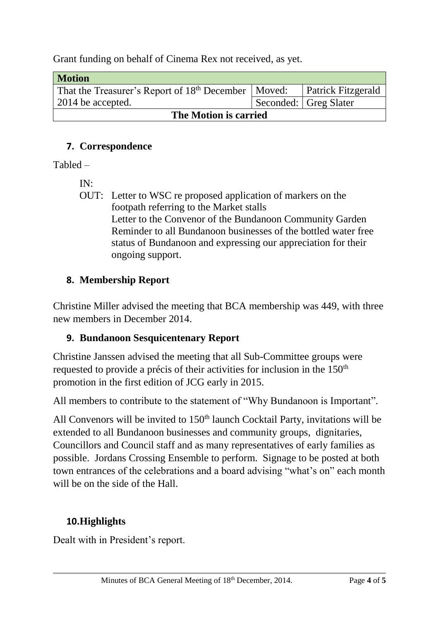Grant funding on behalf of Cinema Rex not received, as yet.

| <b>Motion</b>                                                     |  |                           |
|-------------------------------------------------------------------|--|---------------------------|
| That the Treasurer's Report of 18 <sup>th</sup> December   Moved: |  | <b>Patrick Fitzgerald</b> |
| 2014 be accepted.                                                 |  | Seconded:   Greg Slater   |
| The Motion is carried                                             |  |                           |

## **7. Correspondence**

Tabled –

IN:

OUT: Letter to WSC re proposed application of markers on the footpath referring to the Market stalls Letter to the Convenor of the Bundanoon Community Garden Reminder to all Bundanoon businesses of the bottled water free status of Bundanoon and expressing our appreciation for their ongoing support.

## **8. Membership Report**

Christine Miller advised the meeting that BCA membership was 449, with three new members in December 2014.

## **9. Bundanoon Sesquicentenary Report**

Christine Janssen advised the meeting that all Sub-Committee groups were requested to provide a précis of their activities for inclusion in the 150<sup>th</sup> promotion in the first edition of JCG early in 2015.

All members to contribute to the statement of "Why Bundanoon is Important".

All Convenors will be invited to  $150<sup>th</sup>$  launch Cocktail Party, invitations will be extended to all Bundanoon businesses and community groups, dignitaries, Councillors and Council staff and as many representatives of early families as possible. Jordans Crossing Ensemble to perform. Signage to be posted at both town entrances of the celebrations and a board advising "what's on" each month will be on the side of the Hall.

# **10.Highlights**

Dealt with in President's report.